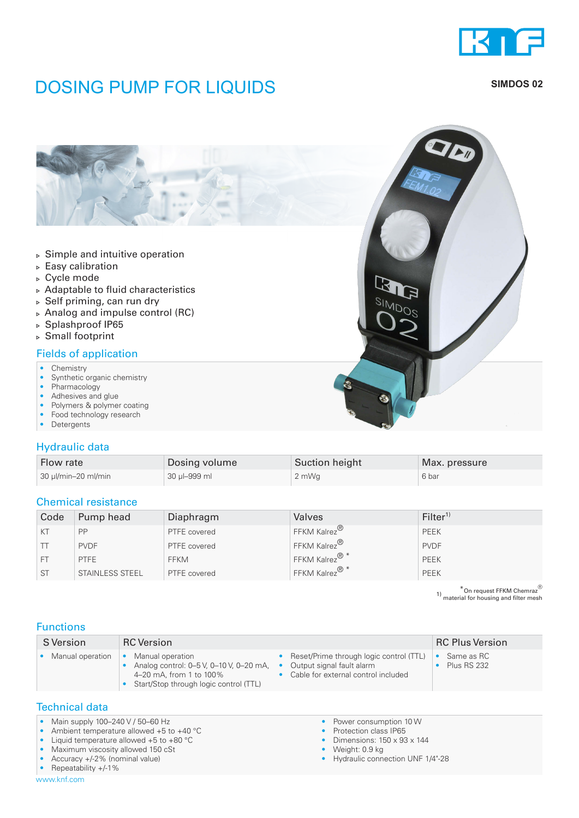

## **DOSING PUMP FOR LIQUIDS** SIMDOS 02



#### Hydraulic data

| Flow rate           | Dosing volume | Suction height | Max. pressure |
|---------------------|---------------|----------------|---------------|
| 30 µl/min-20 ml/min | 30 µl-999 ml  | 2 mWg          | 6 bar         |

#### Chemical resistance

| Code      | Pump head       | Diaphragm    | Valves                    | Filter <sup>1</sup> |
|-----------|-----------------|--------------|---------------------------|---------------------|
| KT        | PP              | PTFE covered | FFKM Kalrez <sup>®</sup>  | PEEK                |
|           | <b>PVDF</b>     | PTFE covered | FFKM Kalrez <sup>®</sup>  | <b>PVDF</b>         |
| <b>FT</b> | <b>PTFE</b>     | <b>FFKM</b>  | FFKM Kalrez <sup>®*</sup> | PEEK                |
| <b>ST</b> | STAINLESS STEEL | PTFE covered | FFKM Kalrez <sup>®*</sup> | PEEK                |

 $*$ On request FFKM Chemraz $^{\circledR}$ 1) material for housing and filter mesh

### Functions

| Reset/Prime through logic control (TTL)<br>Manual operation<br>Same as RC<br>Manual operation<br>Analog control: 0-5 V, 0-10 V, 0-20 mA,<br>Output signal fault alarm<br>Plus RS 232<br>$\bullet$<br>Cable for external control included<br>4-20 mA, from 1 to 100%<br>Start/Stop through logic control (TTL) | S Version | <b>RC</b> Version | <b>RC Plus Version</b> |
|---------------------------------------------------------------------------------------------------------------------------------------------------------------------------------------------------------------------------------------------------------------------------------------------------------------|-----------|-------------------|------------------------|
|                                                                                                                                                                                                                                                                                                               |           |                   |                        |

#### Technical data

• Main supply 100-240 V / 50-60 Hz

• Ambient temperature allowed +5 to +40 °C

• Liquid temperature allowed +5 to +80 °C

• Maximum viscosity allowed 150 cSt

• Accuracy +/-2% (nominal value)

• Repeatability +/-1%

www.knf.com

- Power consumption 10 W
- Protection class IP65
- Dimensions: 150 x 93 x 144
- Weight: 0.9 kg
- Hydraulic connection UNF 1/4"-28